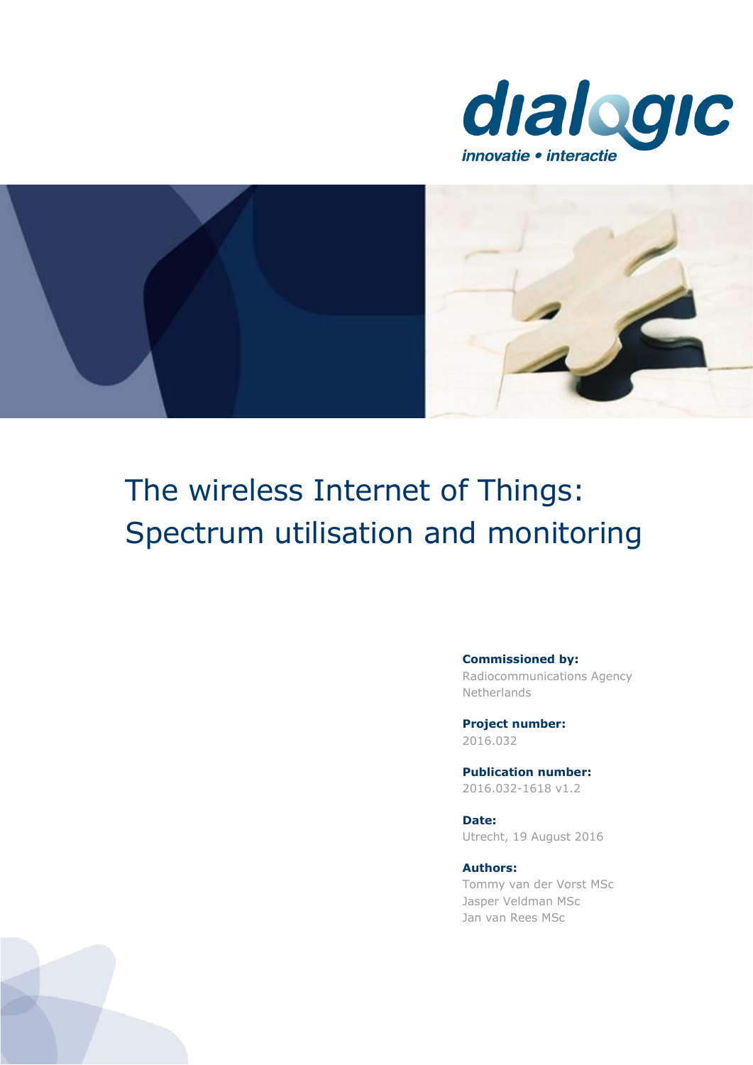



# The wireless Internet of Things: Spectrum utilisation and monitoring

**Commissioned by:**

Radiocommunications Agency Netherlands

**Project number:** 2016.032

**Publication number:** 2016.032-1618 v1.2

**Date:** Utrecht, 19 August 2016

**Authors:**  Tommy van der Vorst MSc Jasper Veldman MSc Jan van Rees MSc

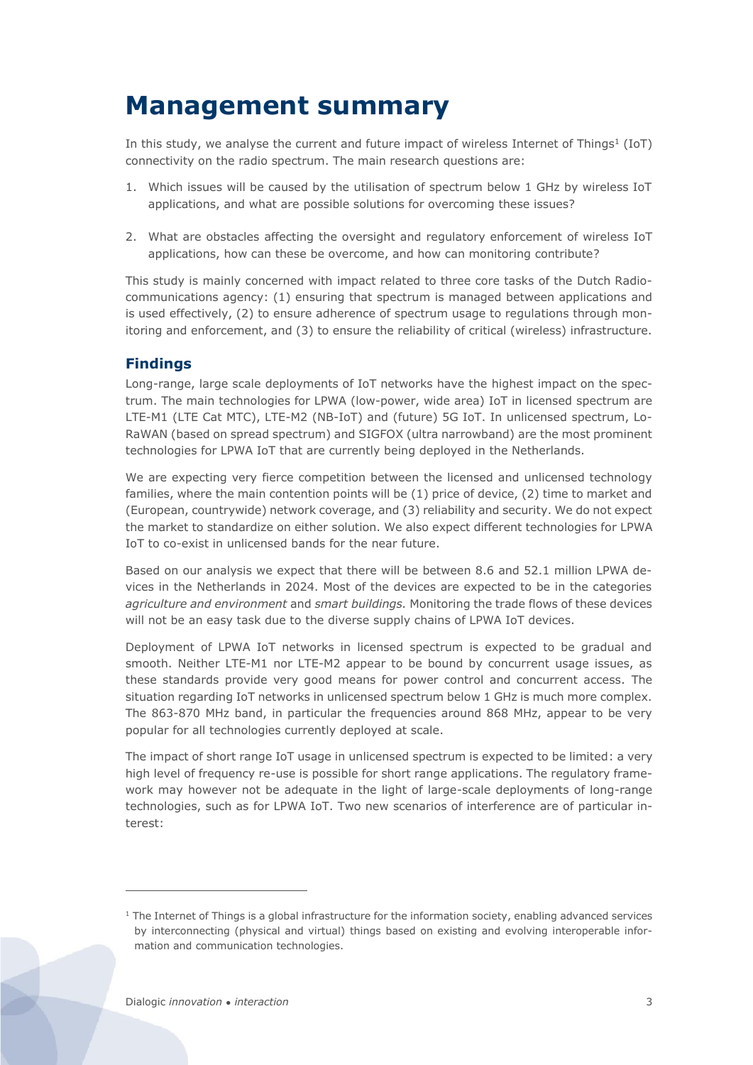# **Management summary**

In this study, we analyse the current and future impact of wireless Internet of Things<sup>1</sup> (IoT) connectivity on the radio spectrum. The main research questions are:

- 1. Which issues will be caused by the utilisation of spectrum below 1 GHz by wireless IoT applications, and what are possible solutions for overcoming these issues?
- 2. What are obstacles affecting the oversight and regulatory enforcement of wireless IoT applications, how can these be overcome, and how can monitoring contribute?

This study is mainly concerned with impact related to three core tasks of the Dutch Radiocommunications agency: (1) ensuring that spectrum is managed between applications and is used effectively, (2) to ensure adherence of spectrum usage to regulations through monitoring and enforcement, and (3) to ensure the reliability of critical (wireless) infrastructure.

## **Findings**

Long-range, large scale deployments of IoT networks have the highest impact on the spectrum. The main technologies for LPWA (low-power, wide area) IoT in licensed spectrum are LTE-M1 (LTE Cat MTC), LTE-M2 (NB-IoT) and (future) 5G IoT. In unlicensed spectrum, Lo-RaWAN (based on spread spectrum) and SIGFOX (ultra narrowband) are the most prominent technologies for LPWA IoT that are currently being deployed in the Netherlands.

We are expecting very fierce competition between the licensed and unlicensed technology families, where the main contention points will be (1) price of device, (2) time to market and (European, countrywide) network coverage, and (3) reliability and security. We do not expect the market to standardize on either solution. We also expect different technologies for LPWA IoT to co-exist in unlicensed bands for the near future.

Based on our analysis we expect that there will be between 8.6 and 52.1 million LPWA devices in the Netherlands in 2024. Most of the devices are expected to be in the categories *agriculture and environment* and *smart buildings.* Monitoring the trade flows of these devices will not be an easy task due to the diverse supply chains of LPWA IoT devices.

Deployment of LPWA IoT networks in licensed spectrum is expected to be gradual and smooth. Neither LTE-M1 nor LTE-M2 appear to be bound by concurrent usage issues, as these standards provide very good means for power control and concurrent access. The situation regarding IoT networks in unlicensed spectrum below 1 GHz is much more complex. The 863-870 MHz band, in particular the frequencies around 868 MHz, appear to be very popular for all technologies currently deployed at scale.

The impact of short range IoT usage in unlicensed spectrum is expected to be limited: a very high level of frequency re-use is possible for short range applications. The regulatory framework may however not be adequate in the light of large-scale deployments of long-range technologies, such as for LPWA IoT. Two new scenarios of interference are of particular interest:

 $\overline{a}$ 

 $1$  The Internet of Things is a global infrastructure for the information society, enabling advanced services by interconnecting (physical and virtual) things based on existing and evolving interoperable information and communication technologies.